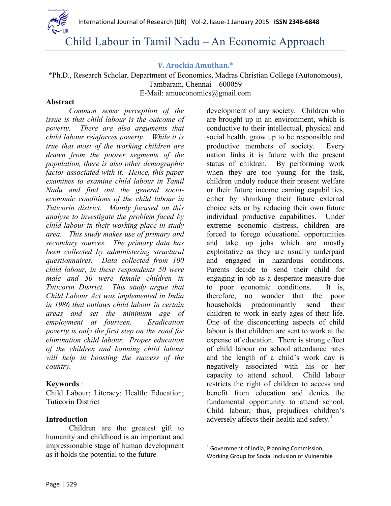

# Child Labour in Tamil Nadu – An Economic Approach

### **V. Arockia Amuthan.\***

**\***Ph.D., Research Scholar, Department of Economics, Madras Christian College (Autonomous), Tambaram, Chennai – 600059 E-Mail: [amueconomics@gmail.com](mailto:amueconomics@gmail.com)

#### **Abstract**

*Common sense perception of the issue is that child labour is the outcome of poverty. There are also arguments that child labour reinforces poverty. While it is true that most of the working children are drawn from the poorer segments of the population, there is also other demographic factor associated with it. Hence, this paper examines to examine child labour in Tamil Nadu and find out the general socioeconomic conditions of the child labour in Tuticorin district. Mainly focused on this analyse to investigate the problem faced by child labour in their working place in study area. This study makes use of primary and secondary sources. The primary data has been collected by administering structural questionnaires. Data collected from 100 child labour, in these respondents 50 were male and 50 were female children in Tuticorin District. This study argue that Child Labour Act was implemented in India in 1986 that outlaws child labour in certain areas and set the minimum age of employment at fourteen. Eradication poverty is only the first step on the road for elimination child labour. Proper education of the children and banning child labour will help in boosting the success of the country.*

#### **Keywords** :

Child Labour; Literacy; Health; Education; Tuticorin District

#### **Introduction**

Children are the greatest gift to humanity and childhood is an important and impressionable stage of human development as it holds the potential to the future

development of any society. Children who are brought up in an environment, which is conductive to their intellectual, physical and social health, grow up to be responsible and productive members of society. Every nation links it is future with the present status of children. By performing work when they are too young for the task, children unduly reduce their present welfare or their future income earning capabilities, either by shrinking their future external choice sets or by reducing their own future individual productive capabilities. Under extreme economic distress, children are forced to forego educational opportunities and take up jobs which are mostly exploitative as they are usually underpaid and engaged in hazardous conditions. Parents decide to send their child for engaging in job as a desperate measure due to poor economic conditions. It is, therefore, no wonder that the poor households predominantly send their children to work in early ages of their life. One of the disconcerting aspects of child labour is that children are sent to work at the expense of education. There is strong effect of child labour on school attendance rates and the length of a child's work day is negatively associated with his or her capacity to attend school. Child labour restricts the right of children to access and benefit from education and denies the fundamental opportunity to attend school. Child labour, thus, prejudices children's adversely affects their health and safety. $\frac{1}{1}$ 

l

<sup>&</sup>lt;sup>1</sup> Government of India, Planning Commission, Working Group for Social Inclusion of Vulnerable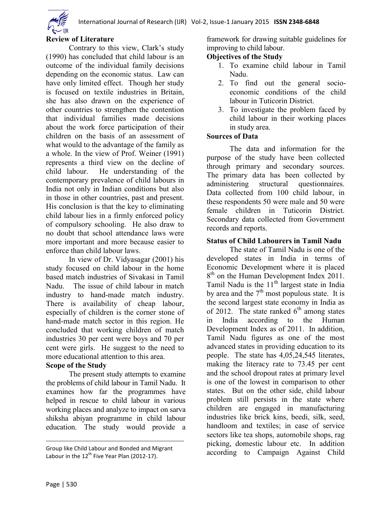

#### **Review of Literature**

Contrary to this view, Clark's study (1990) has concluded that child labour is an outcome of the individual family decisions depending on the economic status. Law can have only limited effect. Though her study is focused on textile industries in Britain, she has also drawn on the experience of other countries to strengthen the contention that individual families made decisions about the work force participation of their children on the basis of an assessment of what would to the advantage of the family as a whole. In the view of Prof. Weiner (1991) represents a third view on the decline of child labour. He understanding of the contemporary prevalence of child labours in India not only in Indian conditions but also in those in other countries, past and present. His conclusion is that the key to eliminating child labour lies in a firmly enforced policy of compulsory schooling. He also draw to no doubt that school attendance laws were more important and more because easier to enforce than child labour laws.

In view of Dr. Vidyasagar (2001) his study focused on child labour in the home based match industries of Sivakasi in Tamil Nadu. The issue of child labour in match industry to hand-made match industry. There is availability of cheap labour, especially of children is the corner stone of hand-made match sector in this region. He concluded that working children of match industries 30 per cent were boys and 70 per cent were girls. He suggest to the need to more educational attention to this area.

# **Scope of the Study**

The present study attempts to examine the problems of child labour in Tamil Nadu. It examines how far the programmes have helped in rescue to child labour in various working places and analyze to impact on sarva shiksha abiyan programme in child labour education. The study would provide a

framework for drawing suitable guidelines for improving to child labour.

#### **Objectives of the Study**

- 1. To examine child labour in Tamil Nadu.
- 2. To find out the general socioeconomic conditions of the child labour in Tuticorin District.
- 3. To investigate the problem faced by child labour in their working places in study area.

#### **Sources of Data**

The data and information for the purpose of the study have been collected through primary and secondary sources. The primary data has been collected by administering structural questionnaires. Data collected from 100 child labour, in these respondents 50 were male and 50 were female children in Tuticorin District. Secondary data collected from Government records and reports.

## **Status of Child Labourers in Tamil Nadu**

The state of Tamil Nadu is one of the developed states in India in terms of Economic Development where it is placed 8<sup>th</sup> on the Human Development Index 2011. Tamil Nadu is the 11<sup>th</sup> largest state in India by area and the  $7<sup>th</sup>$  most populous state. It is the second largest state economy in India as of 2012. The state ranked  $6<sup>th</sup>$  among states in India according to the Human Development Index as of 2011. In addition, Tamil Nadu figures as one of the most advanced states in providing education to its people. The state has 4,05,24,545 literates, making the literacy rate to 73.45 per cent and the school dropout rates at primary level is one of the lowest in comparison to other states. But on the other side, child labour problem still persists in the state where children are engaged in manufacturing industries like brick kins, beedi, silk, seed, handloom and textiles; in case of service sectors like tea shops, automobile shops, rag picking, domestic labour etc. In addition according to Campaign Against Child

l

Group like Child Labour and Bonded and Migrant Labour in the  $12^{th}$  Five Year Plan (2012-17).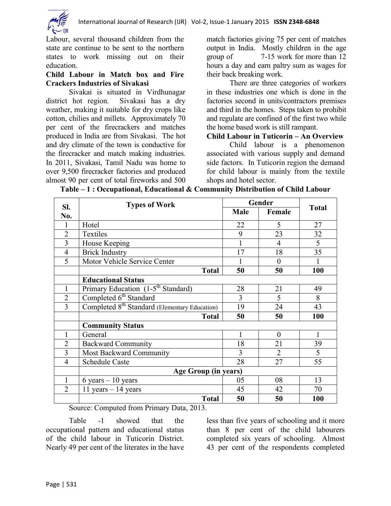

Labour, several thousand children from the state are continue to be sent to the northern states to work missing out on their education.

#### **Child Labour in Match box and Fire Crackers Industries of Sivakasi**

Sivakai is situated in Virdhunagar district hot region. Sivakasi has a dry weather, making it suitable for dry crops like cotton, chilies and millets. Approximately 70 per cent of the firecrackers and matches produced in India are from Sivakasi. The hot and dry climate of the town is conductive for the firecracker and match making industries. In 2011, Sivakasi, Tamil Nadu was home to over 9,500 firecracker factories and produced almost 90 per cent of total fireworks and 500

match factories giving 75 per cent of matches output in India. Mostly children in the age group of 7-15 work for more than 12 hours a day and earn paltry sum as wages for their back breaking work.

There are three categories of workers in these industries one which is done in the factories second in units/contractors premises and third in the homes. Steps taken to prohibit and regulate are confined of the first two while the home based work is still rampant.

#### **Child Labour in Tuticorin – An Overview**

Child labour is a phenomenon associated with various supply and demand side factors. In Tuticorin region the demand for child labour is mainly from the textile shops and hotel sector.

| SI.            | <b>Types of Work</b>                                                                               | Gender |                |              |  |  |  |  |
|----------------|----------------------------------------------------------------------------------------------------|--------|----------------|--------------|--|--|--|--|
| No.            |                                                                                                    | Male   | Female         | <b>Total</b> |  |  |  |  |
| 1              | Hotel                                                                                              | 22     | 5              | 27           |  |  |  |  |
| $\overline{2}$ | Textiles                                                                                           | 9      | 23             | 32           |  |  |  |  |
| 3              | House Keeping                                                                                      |        | $\overline{4}$ | 5            |  |  |  |  |
| $\overline{4}$ | <b>Brick Industry</b>                                                                              | 17     | 18             | 35           |  |  |  |  |
| 5              | Motor Vehicle Service Center                                                                       |        | $\Omega$       |              |  |  |  |  |
|                | <b>Total</b>                                                                                       | 50     | 50             | 100          |  |  |  |  |
|                | <b>Educational Status</b>                                                                          |        |                |              |  |  |  |  |
| 1              | Primary Education (1-5 <sup>th</sup> Standard)                                                     | 28     | 21             | 49           |  |  |  |  |
| $\overline{2}$ | Completed 6 <sup>th</sup> Standard                                                                 | 3      | 5              | 8            |  |  |  |  |
| $\overline{3}$ | Completed 8 <sup>th</sup> Standard (Elementary Education)                                          | 19     | 24             | 43           |  |  |  |  |
|                | <b>Total</b>                                                                                       | 50     | 50             | <b>100</b>   |  |  |  |  |
|                | <b>Community Status</b>                                                                            |        |                |              |  |  |  |  |
| 1              | General                                                                                            |        | $\theta$       | 1            |  |  |  |  |
| $\overline{2}$ | <b>Backward Community</b>                                                                          | 18     | 21             | 39           |  |  |  |  |
| 3              | Most Backward Community                                                                            | 3      | $\overline{2}$ | 5            |  |  |  |  |
| $\overline{4}$ | <b>Schedule Caste</b>                                                                              | 28     | 27             | 55           |  |  |  |  |
|                | <b>Age Group (in years)</b>                                                                        |        |                |              |  |  |  |  |
| 1              | $6 \text{ years} - 10 \text{ years}$                                                               | 05     | 08             | 13           |  |  |  |  |
| $\overline{2}$ | 11 years $-14$ years                                                                               | 45     | 42             | 70           |  |  |  |  |
|                | <b>Total</b><br>$\sim$ $\sim$ $\sim$ $\sim$ $\sim$ $\sim$ $\sim$<br>$\sim$<br>$\sim$ $\sim$ $\sim$ | 50     | 50             | <b>100</b>   |  |  |  |  |

**Table – 1 : Occupational, Educational & Community Distribution of Child Labour**

Source: Computed from Primary Data, 2013.

Table -1 showed that the occupational pattern and educational status of the child labour in Tuticorin District. Nearly 49 per cent of the literates in the have

less than five years of schooling and it more than 8 per cent of the child labourers completed six years of schooling. Almost 43 per cent of the respondents completed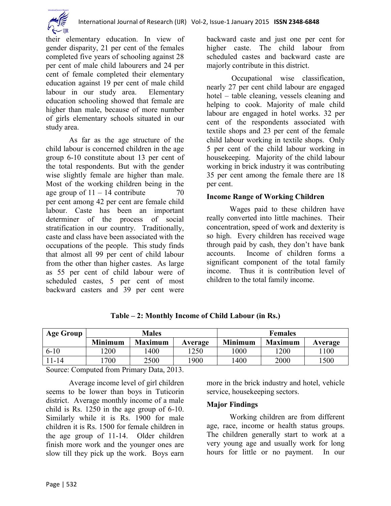

their elementary education. In view of gender disparity, 21 per cent of the females completed five years of schooling against 28 per cent of male child labourers and 24 per cent of female completed their elementary education against 19 per cent of male child labour in our study area. Elementary education schooling showed that female are higher than male, because of more number of girls elementary schools situated in our study area.

As far as the age structure of the child labour is concerned children in the age group 6-10 constitute about 13 per cent of the total respondents. But with the gender wise slightly female are higher than male. Most of the working children being in the age group of  $11 - 14$  contribute  $70$ per cent among 42 per cent are female child labour. Caste has been an important determiner of the process of social stratification in our country. Traditionally, caste and class have been associated with the occupations of the people. This study finds that almost all 99 per cent of child labour from the other than higher castes. As large as 55 per cent of child labour were of scheduled castes, 5 per cent of most backward casters and 39 per cent were

backward caste and just one per cent for higher caste. The child labour from scheduled castes and backward caste are majorly contribute in this district.

Occupational wise classification, nearly 27 per cent child labour are engaged hotel – table cleaning, vessels cleaning and helping to cook. Majority of male child labour are engaged in hotel works. 32 per cent of the respondents associated with textile shops and 23 per cent of the female child labour working in textile shops. Only 5 per cent of the child labour working in housekeeping. Majority of the child labour working in brick industry it was contributing 35 per cent among the female there are 18 per cent.

#### **Income Range of Working Children**

Wages paid to these children have really converted into little machines. Their concentration, speed of work and dexterity is so high. Every children has received wage through paid by cash, they don't have bank accounts. Income of children forms a significant component of the total family income. Thus it is contribution level of children to the total family income.

| <b>Age Group</b> | <b>Males</b>   |                |         | <b>Females</b> |                |         |
|------------------|----------------|----------------|---------|----------------|----------------|---------|
|                  | <b>Minimum</b> | <b>Maximum</b> | Average | <b>Minimum</b> | <b>Maximum</b> | Average |
| $6 - 10$         | 200            | 400            | 1250    | 1000           | 1200           | 1100    |
| 11-14            | 700            | 2500           | 1900    | 1400           | 2000           | 500     |

**Table – 2: Monthly Income of Child Labour (in Rs.)**

Source: Computed from Primary Data, 2013.

Average income level of girl children seems to be lower than boys in Tuticorin district. Average monthly income of a male child is Rs. 1250 in the age group of 6-10. Similarly while it is Rs. 1900 for male children it is Rs. 1500 for female children in the age group of 11-14. Older children finish more work and the younger ones are slow till they pick up the work. Boys earn more in the brick industry and hotel, vehicle service, housekeeping sectors.

#### **Major Findings**

Working children are from different age, race, income or health status groups. The children generally start to work at a very young age and usually work for long hours for little or no payment. In our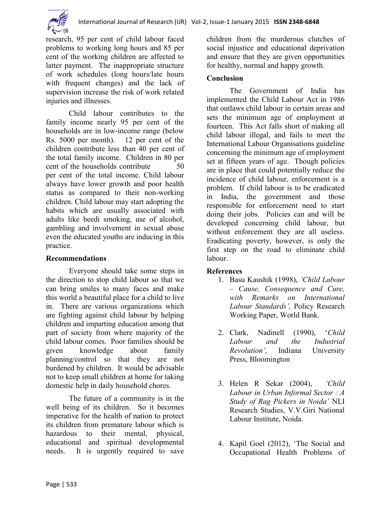

research, 95 per cent of child labour faced problems to working long hours and 85 per cent of the working children are affected to latter payment. The inappropriate structure of work schedules (long hours/late hours with frequent changes) and the lack of supervision increase the risk of work related injuries and illnesses.

Child labour contributes to the family income nearly 95 per cent of the households are in low-income range (below Rs. 5000 per month). 12 per cent of the children contribute less than 40 per cent of the total family income. Children in 80 per cent of the households contribute 50 per cent of the total income. Child labour always have lower growth and poor health status as compared to their non-working children. Child labour may start adopting the habits which are usually associated with adults like beedi smoking, use of alcohol, gambling and involvement in sexual abuse even the educated youths are inducing in this practice.

#### **Recommendations**

Everyone should take some steps in the direction to stop child labour so that we can bring smiles to many faces and make this world a beautiful place for a child to live in. There are various organizations which are fighting against child labour by helping children and imparting education among that part of society from where majority of the child labour comes. Poor families should be given knowledge about family planning/control so that they are not burdened by children. It would be advisable not to keep small children at home for taking domestic help in daily household chores.

The future of a community is in the well being of its children. So it becomes imperative for the health of nation to protect its children from premature labour which is hazardous to their mental, physical, educational and spiritual developmental needs. It is urgently required to save children from the murderous clutches of social injustice and educational deprivation and ensure that they are given opportunities for healthy, normal and happy growth.

# **Conclusion**

The Government of India has implemented the Child Labour Act in 1986 that outlaws child labour in certain areas and sets the minimum age of employment at fourteen. This Act falls short of making all child labour illegal, and fails to meet the International Labour Organisations guideline concerning the minimum age of employment set at fifteen years of age. Though policies are in place that could potentially reduce the incidence of child labour, enforcement is a problem. If child labour is to be eradicated in India, the government and those responsible for enforcement need to start doing their jobs. Policies can and will be developed concerning child labour, but without enforcement they are all useless. Eradicating poverty, however, is only the first step on the road to eliminate child labour.

# **References**

- 1. Basu Kaushik (1998), *'Child Labour – Cause, Consequence and Cure, with Remarks on International Labour Standards',* Policy Research Working Paper, World Bank.
- 2. Clark, Nadinell (1990), '*Child Labour and the Industrial Revolution',* Indiana University Press, Bloomington
- 3. Helen R Sekar (2004), *'Child Labour in Urban Informal Sector : A Study of Rag Pickers in Noida'* NLI Research Studies, V.V.Giri National Labour Institute, Noida.
- 4. Kapil Goel (2012), 'The Social and Occupational Health Problems of